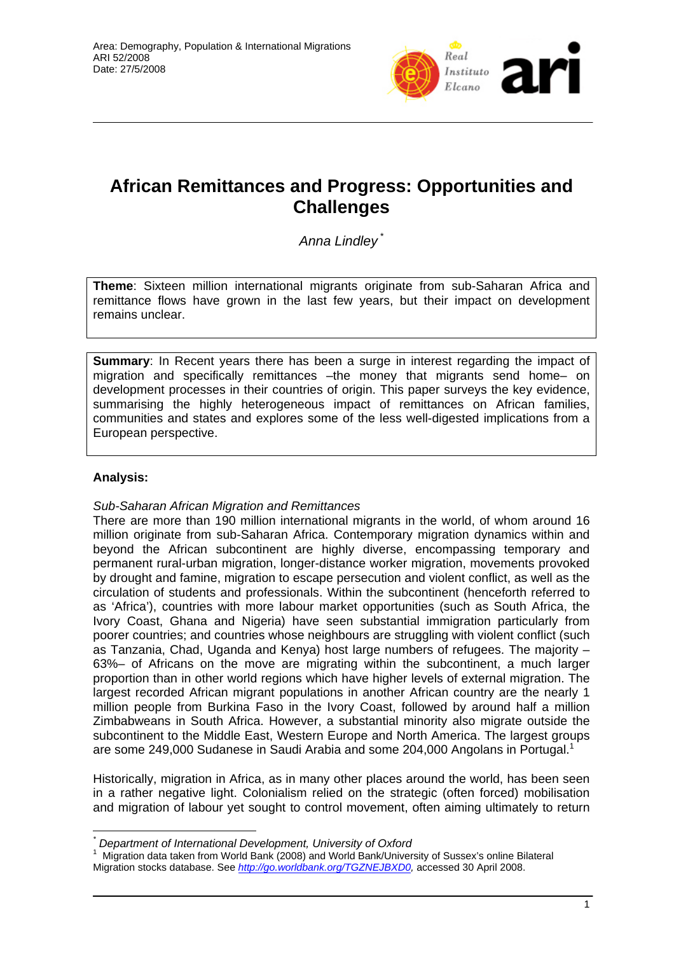

# **African Remittances and Progress: Opportunities and Challenges**

*Anna Lindley* \*

**Theme**: Sixteen million international migrants originate from sub-Saharan Africa and remittance flows have grown in the last few years, but their impact on development remains unclear.

**Summary:** In Recent years there has been a surge in interest regarding the impact of migration and specifically remittances –the money that migrants send home– on development processes in their countries of origin. This paper surveys the key evidence, summarising the highly heterogeneous impact of remittances on African families, communities and states and explores some of the less well-digested implications from a European perspective.

# **Analysis:**

 $\overline{a}$ 

# *Sub-Saharan African Migration and Remittances*

There are more than 190 million international migrants in the world, of whom around 16 million originate from sub-Saharan Africa. Contemporary migration dynamics within and beyond the African subcontinent are highly diverse, encompassing temporary and permanent rural-urban migration, longer-distance worker migration, movements provoked by drought and famine, migration to escape persecution and violent conflict, as well as the circulation of students and professionals. Within the subcontinent (henceforth referred to as 'Africa'), countries with more labour market opportunities (such as South Africa, the Ivory Coast, Ghana and Nigeria) have seen substantial immigration particularly from poorer countries; and countries whose neighbours are struggling with violent conflict (such as Tanzania, Chad, Uganda and Kenya) host large numbers of refugees. The majority – 63%– of Africans on the move are migrating within the subcontinent, a much larger proportion than in other world regions which have higher levels of external migration. The largest recorded African migrant populations in another African country are the nearly 1 million people from Burkina Faso in the Ivory Coast, followed by around half a million Zimbabweans in South Africa. However, a substantial minority also migrate outside the subcontinent to the Middle East, Western Europe and North America. The largest groups are some 249,000 Sudanese in Saudi Arabia and some 204,000 Angolans in Portugal.<sup>1</sup>

Historically, migration in Africa, as in many other places around the world, has been seen in a rather negative light. Colonialism relied on the strategic (often forced) mobilisation and migration of labour yet sought to control movement, often aiming ultimately to return

*<sup>\*</sup> Department of International Development, University of Oxford* 

<sup>1</sup> Migration data taken from World Bank (2008) and World Bank/University of Sussex's online Bilateral Migration stocks database. See *http://go.worldbank.org/TGZNEJBXD0,* accessed 30 April 2008.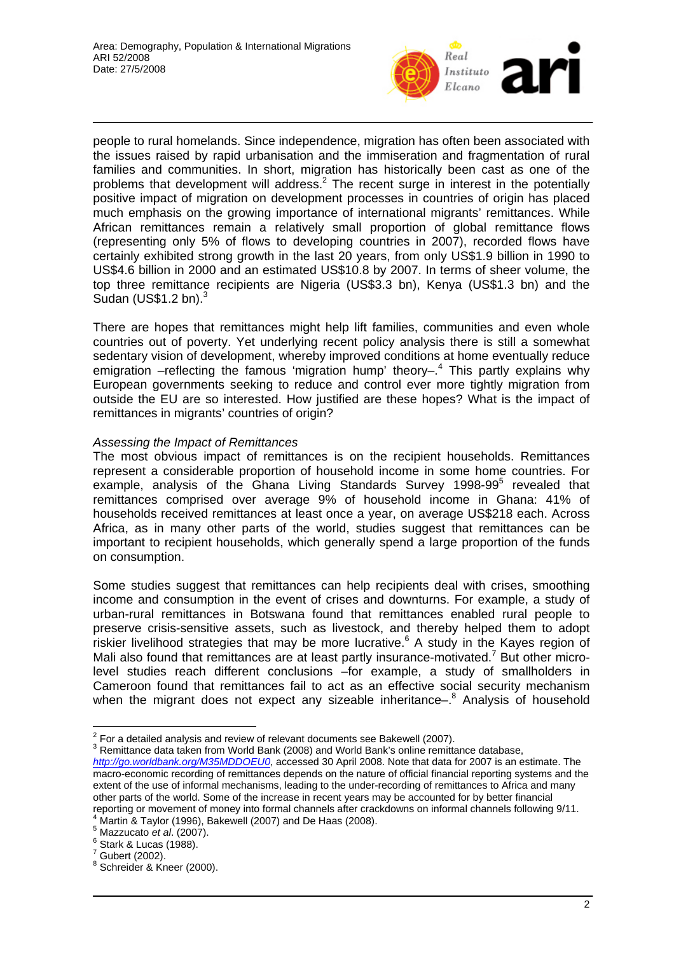

people to rural homelands. Since independence, migration has often been associated with the issues raised by rapid urbanisation and the immiseration and fragmentation of rural families and communities. In short, migration has historically been cast as one of the problems that development will address.<sup>2</sup> The recent surge in interest in the potentially positive impact of migration on development processes in countries of origin has placed much emphasis on the growing importance of international migrants' remittances. While African remittances remain a relatively small proportion of global remittance flows (representing only 5% of flows to developing countries in 2007), recorded flows have certainly exhibited strong growth in the last 20 years, from only US\$1.9 billion in 1990 to US\$4.6 billion in 2000 and an estimated US\$10.8 by 2007. In terms of sheer volume, the top three remittance recipients are Nigeria (US\$3.3 bn), Kenya (US\$1.3 bn) and the Sudan (US\$1.2 bn).<sup>3</sup>

There are hopes that remittances might help lift families, communities and even whole countries out of poverty. Yet underlying recent policy analysis there is still a somewhat sedentary vision of development, whereby improved conditions at home eventually reduce emigration –reflecting the famous 'migration hump' theory–.<sup>4</sup> This partly explains why European governments seeking to reduce and control ever more tightly migration from outside the EU are so interested. How justified are these hopes? What is the impact of remittances in migrants' countries of origin?

#### *Assessing the Impact of Remittances*

The most obvious impact of remittances is on the recipient households. Remittances represent a considerable proportion of household income in some home countries. For example, analysis of the Ghana Living Standards Survey 1998-99<sup>5</sup> revealed that remittances comprised over average 9% of household income in Ghana: 41% of households received remittances at least once a year, on average US\$218 each. Across Africa, as in many other parts of the world, studies suggest that remittances can be important to recipient households, which generally spend a large proportion of the funds on consumption.

Some studies suggest that remittances can help recipients deal with crises, smoothing income and consumption in the event of crises and downturns. For example, a study of urban-rural remittances in Botswana found that remittances enabled rural people to preserve crisis-sensitive assets, such as livestock, and thereby helped them to adopt riskier livelihood strategies that may be more lucrative.<sup>6</sup> A study in the Kayes region of Mali also found that remittances are at least partly insurance-motivated.<sup>7</sup> But other microlevel studies reach different conclusions –for example, a study of smallholders in Cameroon found that remittances fail to act as an effective social security mechanism when the migrant does not expect any sizeable inheritance-.<sup>8</sup> Analysis of household

 $\frac{2}{3}$  For a detailed analysis and review of relevant documents see Bakewell (2007).

 $3$  Remittance data taken from World Bank (2008) and World Bank's online remittance database, *http://go.worldbank.org/M35MDDOEU0*, accessed 30 April 2008. Note that data for 2007 is an estimate. The macro-economic recording of remittances depends on the nature of official financial reporting systems and the extent of the use of informal mechanisms, leading to the under-recording of remittances to Africa and many other parts of the world. Some of the increase in recent years may be accounted for by better financial reporting or movement of money into formal channels after crackdowns on informal channels following 9/11. Martin & Taylor (1996), Bakewell (2007) and De Haas (2008).

<sup>&</sup>lt;sup>5</sup> Mazzucato *et al.* (2007).<br><sup>6</sup> Sterk 8 Luces (1088).

 $6$  Stark & Lucas (1988).

 $7$  Gubert (2002).

<sup>&</sup>lt;sup>8</sup> Schreider & Kneer (2000).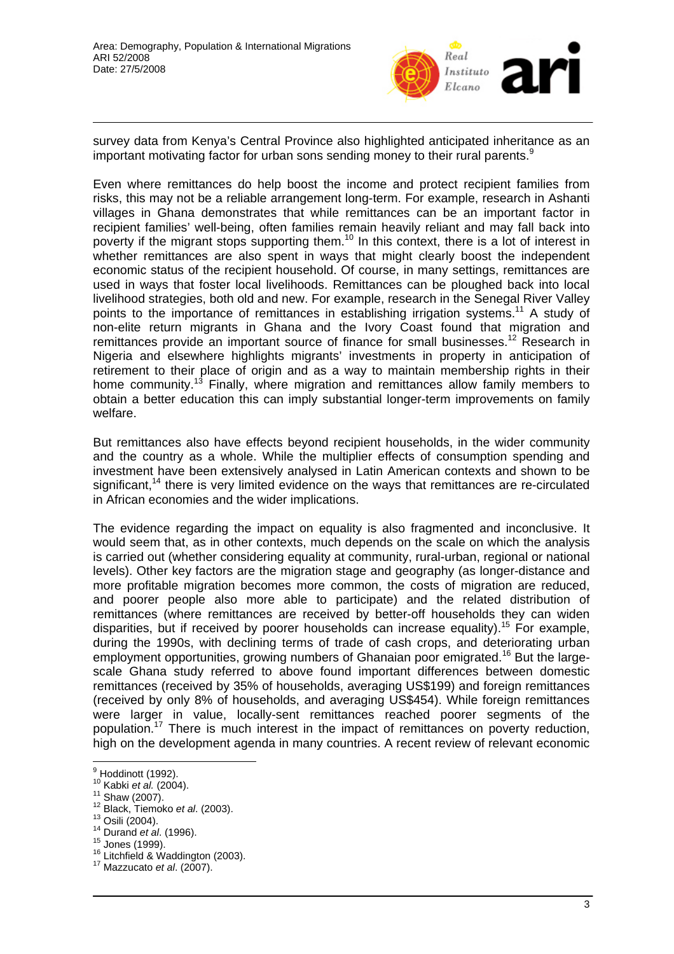

survey data from Kenya's Central Province also highlighted anticipated inheritance as an important motivating factor for urban sons sending money to their rural parents.<sup>9</sup>

Even where remittances do help boost the income and protect recipient families from risks, this may not be a reliable arrangement long-term. For example, research in Ashanti villages in Ghana demonstrates that while remittances can be an important factor in recipient families' well-being, often families remain heavily reliant and may fall back into poverty if the migrant stops supporting them.<sup>10</sup> In this context, there is a lot of interest in whether remittances are also spent in ways that might clearly boost the independent economic status of the recipient household. Of course, in many settings, remittances are used in ways that foster local livelihoods. Remittances can be ploughed back into local livelihood strategies, both old and new. For example, research in the Senegal River Valley points to the importance of remittances in establishing irrigation systems.<sup>11</sup> A study of non-elite return migrants in Ghana and the Ivory Coast found that migration and remittances provide an important source of finance for small businesses.<sup>12</sup> Research in Nigeria and elsewhere highlights migrants' investments in property in anticipation of retirement to their place of origin and as a way to maintain membership rights in their home community.<sup>13</sup> Finally, where migration and remittances allow family members to obtain a better education this can imply substantial longer-term improvements on family welfare.

But remittances also have effects beyond recipient households, in the wider community and the country as a whole. While the multiplier effects of consumption spending and investment have been extensively analysed in Latin American contexts and shown to be significant,<sup>14</sup> there is very limited evidence on the ways that remittances are re-circulated in African economies and the wider implications.

The evidence regarding the impact on equality is also fragmented and inconclusive. It would seem that, as in other contexts, much depends on the scale on which the analysis is carried out (whether considering equality at community, rural-urban, regional or national levels). Other key factors are the migration stage and geography (as longer-distance and more profitable migration becomes more common, the costs of migration are reduced, and poorer people also more able to participate) and the related distribution of remittances (where remittances are received by better-off households they can widen disparities, but if received by poorer households can increase equality).<sup>15</sup> For example, during the 1990s, with declining terms of trade of cash crops, and deteriorating urban employment opportunities, growing numbers of Ghanaian poor emigrated.<sup>16</sup> But the largescale Ghana study referred to above found important differences between domestic remittances (received by 35% of households, averaging US\$199) and foreign remittances (received by only 8% of households, and averaging US\$454). While foreign remittances were larger in value, locally-sent remittances reached poorer segments of the population.<sup>17</sup> There is much interest in the impact of remittances on poverty reduction, high on the development agenda in many countries. A recent review of relevant economic

<sup>&</sup>lt;u>。</u><br>9 Hoddinott (1992).

<sup>10</sup> Kabki *et al.* (2004).<br><sup>11</sup> Shaw (2007).<br><sup>12</sup> Black, Tiemoko *et al.* (2003).<br><sup>13</sup> Osili (2004).<br><sup>14</sup> Durand *et al.* (1996).<br><sup>15</sup> Jones (1999).<br><sup>16</sup> Litchfield & Waddington (2003).<br><sup>17</sup> Mazzucato *et al.* (2007).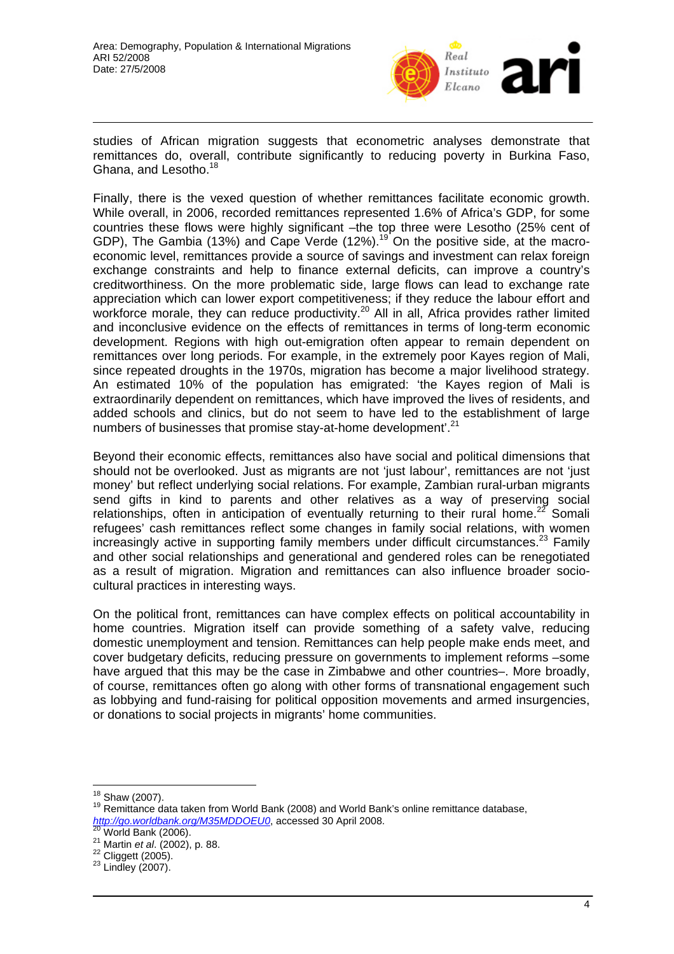

studies of African migration suggests that econometric analyses demonstrate that remittances do, overall, contribute significantly to reducing poverty in Burkina Faso, Ghana, and Lesotho.<sup>18</sup>

Finally, there is the vexed question of whether remittances facilitate economic growth. While overall, in 2006, recorded remittances represented 1.6% of Africa's GDP, for some countries these flows were highly significant –the top three were Lesotho (25% cent of GDP), The Gambia (13%) and Cape Verde (12%).<sup>19</sup> On the positive side, at the macroeconomic level, remittances provide a source of savings and investment can relax foreign exchange constraints and help to finance external deficits, can improve a country's creditworthiness. On the more problematic side, large flows can lead to exchange rate appreciation which can lower export competitiveness; if they reduce the labour effort and workforce morale, they can reduce productivity.<sup>20</sup> All in all, Africa provides rather limited and inconclusive evidence on the effects of remittances in terms of long-term economic development. Regions with high out-emigration often appear to remain dependent on remittances over long periods. For example, in the extremely poor Kayes region of Mali, since repeated droughts in the 1970s, migration has become a major livelihood strategy. An estimated 10% of the population has emigrated: 'the Kayes region of Mali is extraordinarily dependent on remittances, which have improved the lives of residents, and added schools and clinics, but do not seem to have led to the establishment of large numbers of businesses that promise stay-at-home development'.<sup>21</sup>

Beyond their economic effects, remittances also have social and political dimensions that should not be overlooked. Just as migrants are not 'just labour', remittances are not 'just money' but reflect underlying social relations. For example, Zambian rural-urban migrants send gifts in kind to parents and other relatives as a way of preserving social relationships, often in anticipation of eventually returning to their rural home.<sup>22</sup> Somali refugees' cash remittances reflect some changes in family social relations, with women increasingly active in supporting family members under difficult circumstances.<sup>23</sup> Family and other social relationships and generational and gendered roles can be renegotiated as a result of migration. Migration and remittances can also influence broader sociocultural practices in interesting ways.

On the political front, remittances can have complex effects on political accountability in home countries. Migration itself can provide something of a safety valve, reducing domestic unemployment and tension. Remittances can help people make ends meet, and cover budgetary deficits, reducing pressure on governments to implement reforms –some have argued that this may be the case in Zimbabwe and other countries–. More broadly, of course, remittances often go along with other forms of transnational engagement such as lobbying and fund-raising for political opposition movements and armed insurgencies, or donations to social projects in migrants' home communities.

<sup>&</sup>lt;sup>18</sup> Shaw (2007).

<sup>&</sup>lt;sup>19</sup> Remittance data taken from World Bank (2008) and World Bank's online remittance database, *http://go.worldbank.org/M35MDDOEU0*, accessed 30 April 2008.<br><sup>20</sup> World Bank (2006).<br><sup>21</sup> Martin *et al.* (2002), p. 88.<br><sup>22</sup> Cliggett (2005).<br><sup>23</sup> Lindley (2007).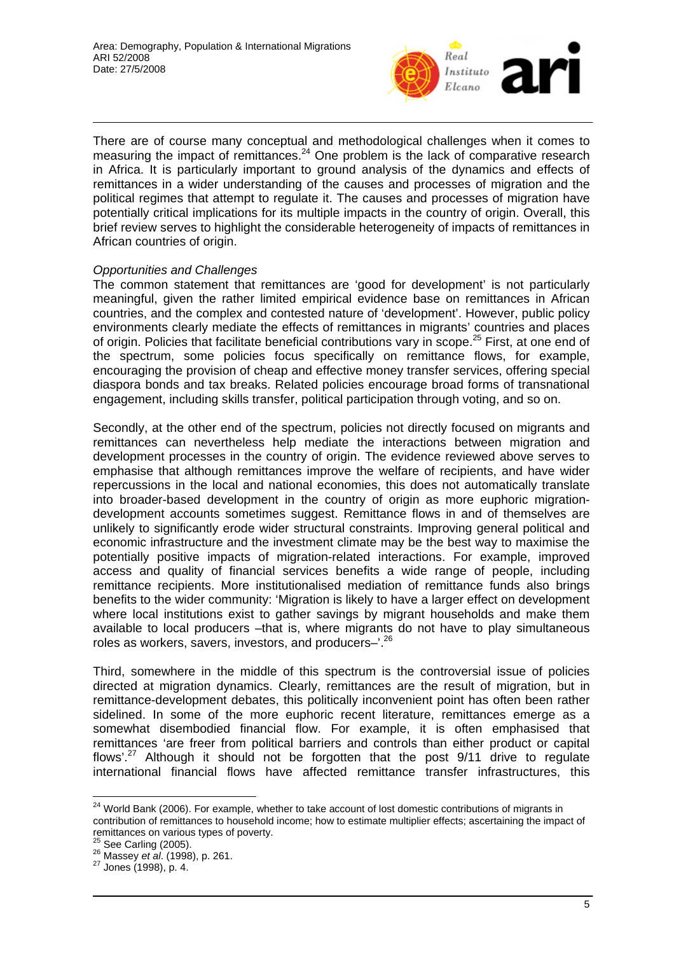

There are of course many conceptual and methodological challenges when it comes to measuring the impact of remittances. $24$  One problem is the lack of comparative research in Africa. It is particularly important to ground analysis of the dynamics and effects of remittances in a wider understanding of the causes and processes of migration and the political regimes that attempt to regulate it. The causes and processes of migration have potentially critical implications for its multiple impacts in the country of origin. Overall, this brief review serves to highlight the considerable heterogeneity of impacts of remittances in African countries of origin.

## *Opportunities and Challenges*

The common statement that remittances are 'good for development' is not particularly meaningful, given the rather limited empirical evidence base on remittances in African countries, and the complex and contested nature of 'development'. However, public policy environments clearly mediate the effects of remittances in migrants' countries and places of origin. Policies that facilitate beneficial contributions vary in scope.<sup>25</sup> First, at one end of the spectrum, some policies focus specifically on remittance flows, for example, encouraging the provision of cheap and effective money transfer services, offering special diaspora bonds and tax breaks. Related policies encourage broad forms of transnational engagement, including skills transfer, political participation through voting, and so on.

Secondly, at the other end of the spectrum, policies not directly focused on migrants and remittances can nevertheless help mediate the interactions between migration and development processes in the country of origin. The evidence reviewed above serves to emphasise that although remittances improve the welfare of recipients, and have wider repercussions in the local and national economies, this does not automatically translate into broader-based development in the country of origin as more euphoric migrationdevelopment accounts sometimes suggest. Remittance flows in and of themselves are unlikely to significantly erode wider structural constraints. Improving general political and economic infrastructure and the investment climate may be the best way to maximise the potentially positive impacts of migration-related interactions. For example, improved access and quality of financial services benefits a wide range of people, including remittance recipients. More institutionalised mediation of remittance funds also brings benefits to the wider community: 'Migration is likely to have a larger effect on development where local institutions exist to gather savings by migrant households and make them available to local producers –that is, where migrants do not have to play simultaneous roles as workers, savers, investors, and producers–'.26

Third, somewhere in the middle of this spectrum is the controversial issue of policies directed at migration dynamics. Clearly, remittances are the result of migration, but in remittance-development debates, this politically inconvenient point has often been rather sidelined. In some of the more euphoric recent literature, remittances emerge as a somewhat disembodied financial flow. For example, it is often emphasised that remittances 'are freer from political barriers and controls than either product or capital flows'.<sup>27</sup> Although it should not be forgotten that the post 9/11 drive to regulate international financial flows have affected remittance transfer infrastructures, this

 $\overline{a}$ 

 $^{24}$  World Bank (2006). For example, whether to take account of lost domestic contributions of migrants in contribution of remittances to household income; how to estimate multiplier effects; ascertaining the impact of remittances on various types of poverty.<br><sup>25</sup> See Carling (2005).

<sup>&</sup>lt;sup>26</sup> Massey *et al.* (1998), p. 261.<br><sup>27</sup> Jones (1998), p. 4.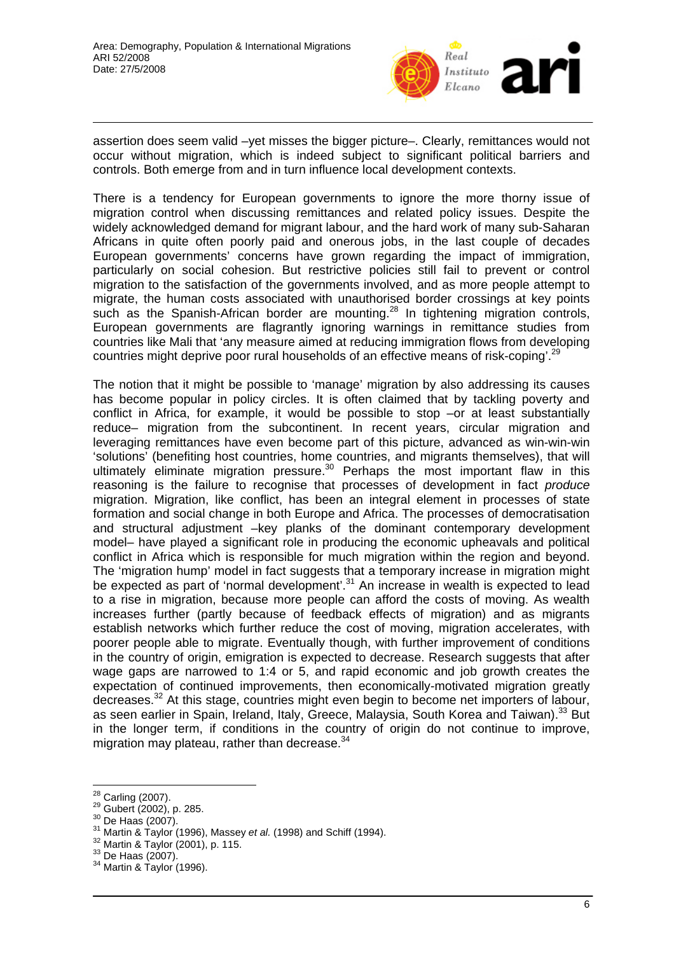

assertion does seem valid –yet misses the bigger picture–. Clearly, remittances would not occur without migration, which is indeed subject to significant political barriers and controls. Both emerge from and in turn influence local development contexts.

There is a tendency for European governments to ignore the more thorny issue of migration control when discussing remittances and related policy issues. Despite the widely acknowledged demand for migrant labour, and the hard work of many sub-Saharan Africans in quite often poorly paid and onerous jobs, in the last couple of decades European governments' concerns have grown regarding the impact of immigration, particularly on social cohesion. But restrictive policies still fail to prevent or control migration to the satisfaction of the governments involved, and as more people attempt to migrate, the human costs associated with unauthorised border crossings at key points such as the Spanish-African border are mounting.<sup>28</sup> In tightening migration controls, European governments are flagrantly ignoring warnings in remittance studies from countries like Mali that 'any measure aimed at reducing immigration flows from developing countries might deprive poor rural households of an effective means of risk-coping'.<sup>29</sup>

The notion that it might be possible to 'manage' migration by also addressing its causes has become popular in policy circles. It is often claimed that by tackling poverty and conflict in Africa, for example, it would be possible to stop –or at least substantially reduce– migration from the subcontinent. In recent years, circular migration and leveraging remittances have even become part of this picture, advanced as win-win-win 'solutions' (benefiting host countries, home countries, and migrants themselves), that will ultimately eliminate migration pressure. $30$  Perhaps the most important flaw in this reasoning is the failure to recognise that processes of development in fact *produce* migration. Migration, like conflict, has been an integral element in processes of state formation and social change in both Europe and Africa. The processes of democratisation and structural adjustment –key planks of the dominant contemporary development model– have played a significant role in producing the economic upheavals and political conflict in Africa which is responsible for much migration within the region and beyond. The 'migration hump' model in fact suggests that a temporary increase in migration might be expected as part of 'normal development'.<sup>31</sup> An increase in wealth is expected to lead to a rise in migration, because more people can afford the costs of moving. As wealth increases further (partly because of feedback effects of migration) and as migrants establish networks which further reduce the cost of moving, migration accelerates, with poorer people able to migrate. Eventually though, with further improvement of conditions in the country of origin, emigration is expected to decrease. Research suggests that after wage gaps are narrowed to 1:4 or 5, and rapid economic and job growth creates the expectation of continued improvements, then economically-motivated migration greatly decreases.<sup>32</sup> At this stage, countries might even begin to become net importers of labour, as seen earlier in Spain, Ireland, Italy, Greece, Malaysia, South Korea and Taiwan).<sup>33</sup> But in the longer term, if conditions in the country of origin do not continue to improve, migration may plateau, rather than decrease.<sup>34</sup>

<sup>&</sup>lt;sup>28</sup> Carling (2007).

<sup>&</sup>lt;sup>29</sup> Gubert (2002), p. 285.<br><sup>30</sup> De Haas (2007).<br><sup>31</sup> Martin & Taylor (1996), Massey *et al.* (1998) and Schiff (1994).<br><sup>31</sup> Martin & Taylor (2001), p. 115.<br><sup>33</sup> De Haas (2007).<br><sup>34</sup> Martin & Taylor (1996).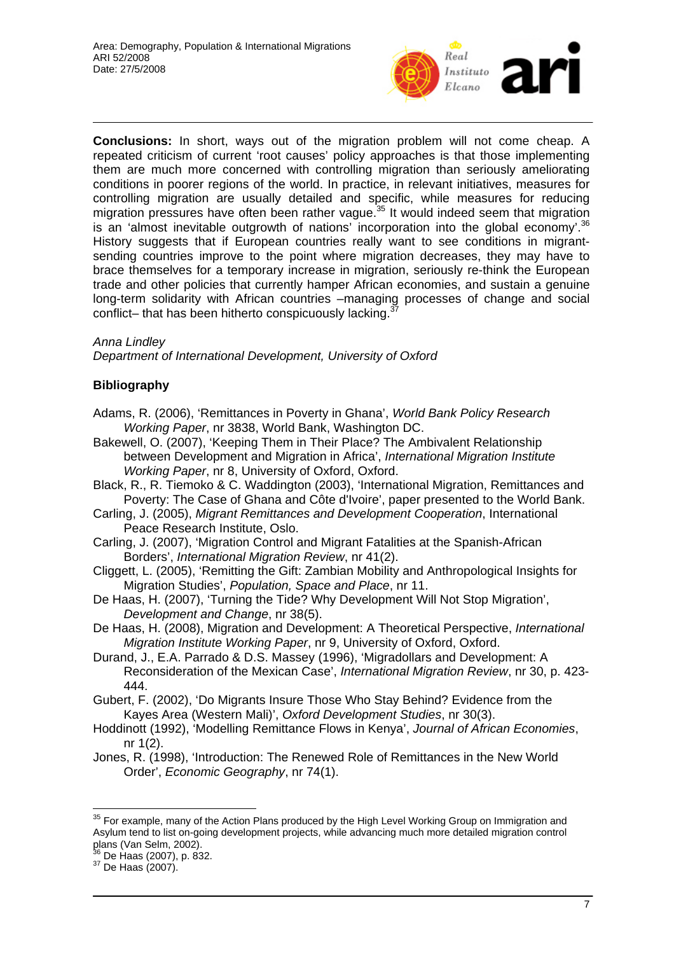

**Conclusions:** In short, ways out of the migration problem will not come cheap. A repeated criticism of current 'root causes' policy approaches is that those implementing them are much more concerned with controlling migration than seriously ameliorating conditions in poorer regions of the world. In practice, in relevant initiatives, measures for controlling migration are usually detailed and specific, while measures for reducing migration pressures have often been rather vague.<sup>35</sup> It would indeed seem that migration is an 'almost inevitable outgrowth of nations' incorporation into the global economy'. $36$ History suggests that if European countries really want to see conditions in migrantsending countries improve to the point where migration decreases, they may have to brace themselves for a temporary increase in migration, seriously re-think the European trade and other policies that currently hamper African economies, and sustain a genuine long-term solidarity with African countries –managing processes of change and social conflict– that has been hitherto conspicuously lacking.

#### *Anna Lindley*

*Department of International Development, University of Oxford* 

## **Bibliography**

- Adams, R. (2006), 'Remittances in Poverty in Ghana', *World Bank Policy Research Working Paper*, nr 3838, World Bank, Washington DC.
- Bakewell, O. (2007), 'Keeping Them in Their Place? The Ambivalent Relationship between Development and Migration in Africa', *International Migration Institute Working Paper*, nr 8, University of Oxford, Oxford.
- Black, R., R. Tiemoko & C. Waddington (2003), 'International Migration, Remittances and Poverty: The Case of Ghana and Côte d'Ivoire', paper presented to the World Bank.
- Carling, J. (2005), *Migrant Remittances and Development Cooperation*, International Peace Research Institute, Oslo.
- Carling, J. (2007), 'Migration Control and Migrant Fatalities at the Spanish-African Borders', *International Migration Review*, nr 41(2).
- Cliggett, L. (2005), 'Remitting the Gift: Zambian Mobility and Anthropological Insights for Migration Studies', *Population, Space and Place*, nr 11.
- De Haas, H. (2007), 'Turning the Tide? Why Development Will Not Stop Migration', *Development and Change*, nr 38(5).
- De Haas, H. (2008), Migration and Development: A Theoretical Perspective, *International Migration Institute Working Paper*, nr 9, University of Oxford, Oxford.
- Durand, J., E.A. Parrado & D.S. Massey (1996), 'Migradollars and Development: A Reconsideration of the Mexican Case', *International Migration Review*, nr 30, p. 423- 444.
- Gubert, F. (2002), 'Do Migrants Insure Those Who Stay Behind? Evidence from the Kayes Area (Western Mali)', *Oxford Development Studies*, nr 30(3).
- Hoddinott (1992), 'Modelling Remittance Flows in Kenya', *Journal of African Economies*, nr 1(2).
- Jones, R. (1998), 'Introduction: The Renewed Role of Remittances in the New World Order', *Economic Geography*, nr 74(1).

 $\overline{a}$  $35$  For example, many of the Action Plans produced by the High Level Working Group on Immigration and Asylum tend to list on-going development projects, while advancing much more detailed migration control plans (Van Selm, 2002).

 $36$  De Haas (2007), p. 832.<br> $37$  De Haas (2007).